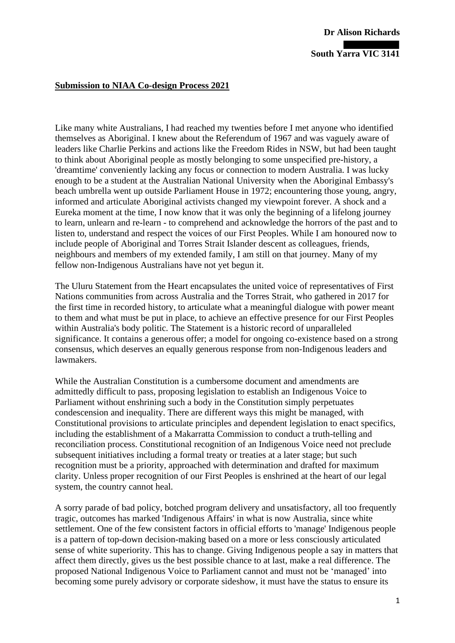## **South Yarra VIC 3141**

## **Submission to NIAA Co-design Process 2021**

Like many white Australians, I had reached my twenties before I met anyone who identified themselves as Aboriginal. I knew about the Referendum of 1967 and was vaguely aware of leaders like Charlie Perkins and actions like the Freedom Rides in NSW, but had been taught to think about Aboriginal people as mostly belonging to some unspecified pre-history, a 'dreamtime' conveniently lacking any focus or connection to modern Australia. I was lucky enough to be a student at the Australian National University when the Aboriginal Embassy's beach umbrella went up outside Parliament House in 1972; encountering those young, angry, informed and articulate Aboriginal activists changed my viewpoint forever. A shock and a Eureka moment at the time, I now know that it was only the beginning of a lifelong journey to learn, unlearn and re-learn - to comprehend and acknowledge the horrors of the past and to listen to, understand and respect the voices of our First Peoples. While I am honoured now to include people of Aboriginal and Torres Strait Islander descent as colleagues, friends, neighbours and members of my extended family, I am still on that journey. Many of my fellow non-Indigenous Australians have not yet begun it.

The Uluru Statement from the Heart encapsulates the united voice of representatives of First Nations communities from across Australia and the Torres Strait, who gathered in 2017 for the first time in recorded history, to articulate what a meaningful dialogue with power meant to them and what must be put in place, to achieve an effective presence for our First Peoples within Australia's body politic. The Statement is a historic record of unparalleled significance. It contains a generous offer; a model for ongoing co-existence based on a strong consensus, which deserves an equally generous response from non-Indigenous leaders and lawmakers.

While the Australian Constitution is a cumbersome document and amendments are admittedly difficult to pass, proposing legislation to establish an Indigenous Voice to Parliament without enshrining such a body in the Constitution simply perpetuates condescension and inequality. There are different ways this might be managed, with Constitutional provisions to articulate principles and dependent legislation to enact specifics, including the establishment of a Makarratta Commission to conduct a truth-telling and reconciliation process. Constitutional recognition of an Indigenous Voice need not preclude subsequent initiatives including a formal treaty or treaties at a later stage; but such recognition must be a priority, approached with determination and drafted for maximum clarity. Unless proper recognition of our First Peoples is enshrined at the heart of our legal system, the country cannot heal.

A sorry parade of bad policy, botched program delivery and unsatisfactory, all too frequently tragic, outcomes has marked 'Indigenous Affairs' in what is now Australia, since white settlement. One of the few consistent factors in official efforts to 'manage' Indigenous people is a pattern of top-down decision-making based on a more or less consciously articulated sense of white superiority. This has to change. Giving Indigenous people a say in matters that affect them directly, gives us the best possible chance to at last, make a real difference. The proposed National Indigenous Voice to Parliament cannot and must not be 'managed' into becoming some purely advisory or corporate sideshow, it must have the status to ensure its